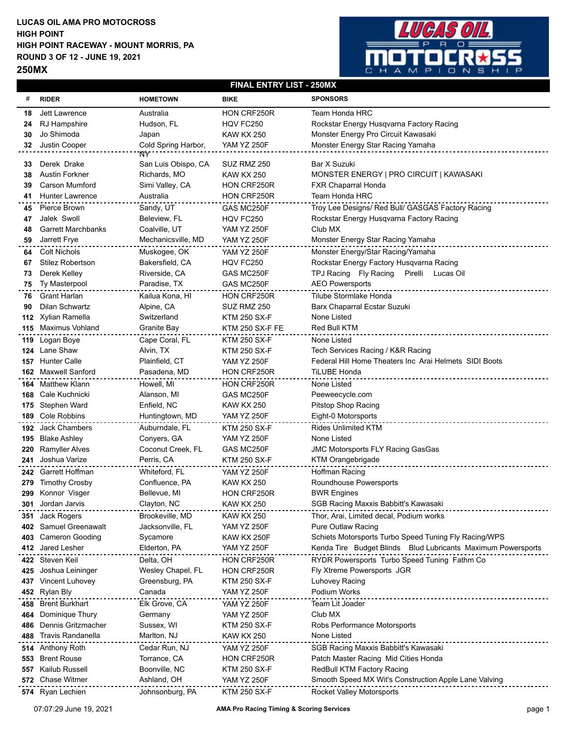## **LUCAS OIL AMA PRO MOTOCROSS HIGH POINT RACEWAY - MOUNT MORRIS, PA ROUND 3 OF 12 - JUNE 19, 2021 250MX HIGH POINT**



## **FINAL ENTRY LIST - 250MX**

| #          | <b>RIDER</b>                             | <b>HOMETOWN</b>                  | <b>BIKE</b>                        | <b>SPONSORS</b>                                                      |
|------------|------------------------------------------|----------------------------------|------------------------------------|----------------------------------------------------------------------|
| 18         | Jett Lawrence                            | Australia                        | HON CRF250R                        | Team Honda HRC                                                       |
| 24         | RJ Hampshire                             | Hudson, FL                       | HQV FC250                          | Rockstar Energy Husqvarna Factory Racing                             |
| 30         | Jo Shimoda                               | Japan                            | <b>KAW KX 250</b>                  | Monster Energy Pro Circuit Kawasaki                                  |
| 32         | Justin Cooper                            | Cold Spring Harbor,              | <b>YAM YZ 250F</b>                 | Monster Energy Star Racing Yamaha                                    |
|            |                                          | ŃΥ                               |                                    |                                                                      |
| 33         | Derek Drake                              | San Luis Obispo, CA              | SUZ RMZ 250                        | Bar X Suzuki                                                         |
| 38         | <b>Austin Forkner</b>                    | Richards, MO                     | <b>KAW KX 250</b>                  | MONSTER ENERGY   PRO CIRCUIT   KAWASAKI                              |
| 39         | <b>Carson Mumford</b>                    | Simi Valley, CA                  | HON CRF250R                        | FXR Chaparral Honda                                                  |
| 41         | <b>Hunter Lawrence</b>                   | Australia                        | HON CRF250R                        | Team Honda HRC                                                       |
| 45         | Pierce Brown                             | Sandy, UT                        | GAS MC250F                         | Troy Lee Designs/ Red Bull/ GASGAS Factory Racing                    |
| 47         | Jalek Swoll                              | Beleview, FL                     | HQV FC250                          | Rockstar Energy Husqvarna Factory Racing<br>Club MX                  |
| 48         | <b>Garrett Marchbanks</b>                | Coalville, UT                    | <b>YAM YZ 250F</b>                 |                                                                      |
| 59         | Jarrett Frye                             | Mechanicsville, MD               | <b>YAM YZ 250F</b>                 | Monster Energy Star Racing Yamaha                                    |
| 64         | <b>Colt Nichols</b>                      | Muskogee, OK                     | <b>YAM YZ 250F</b>                 | Monster Energy/Star Racing/Yamaha                                    |
| 67         | <b>Stilez Robertson</b>                  | Bakersfield, CA                  | HQV FC250                          | Rockstar Energy Factory Husqvarna Racing                             |
| 73         | Derek Kelley                             | Riverside, CA                    | GAS MC250F                         | TPJ Racing Fly Racing<br>Pirelli Lucas Oil<br><b>AEO Powersports</b> |
| 75         | <b>Ty Masterpool</b>                     | Paradise, TX                     | GAS MC250F                         |                                                                      |
| 76         | <b>Grant Harlan</b>                      | Kailua Kona, HI                  | HON CRF250R                        | Tilube Stormlake Honda                                               |
| 90         | Dilan Schwartz                           | Alpine, CA                       | SUZ RMZ 250                        | Barx Chaparral Ecstar Suzuki                                         |
| 112        | Xylian Ramella                           | Switzerland                      | <b>KTM 250 SX-F</b>                | None Listed                                                          |
|            | 115 Maximus Vohland                      | Granite Bay                      | <b>KTM 250 SX-F FE</b>             | Red Bull KTM                                                         |
| 119        | Logan Boye                               | Cape Coral, FL                   | <b>KTM 250 SX-F</b>                | None Listed                                                          |
| 124        | Lane Shaw                                | Alvin, TX                        | <b>KTM 250 SX-F</b>                | Tech Services Racing / K&R Racing                                    |
| 157        | <b>Hunter Calle</b>                      | Plainfield, CT                   | <b>YAM YZ 250F</b>                 | Federal Hill Home Theaters Inc Arai Helmets SIDI Boots               |
| 162        | Maxwell Sanford                          | Pasadena, MD                     | HON CRF250R                        | <b>TiLUBE Honda</b>                                                  |
| 164        | Matthew Klann                            | Howell, MI                       | HON CRF250R                        | None Listed                                                          |
| 168        | Cale Kuchnicki                           | Alanson, MI                      | GAS MC250F                         | Peeweecycle.com                                                      |
| 175        | Stephen Ward                             | Enfield, NC                      | <b>KAW KX 250</b>                  | Pitstop Shop Racing                                                  |
| 189        | <b>Cole Robbins</b>                      | Huntingtown, MD                  | <b>YAM YZ 250F</b>                 | Eight-0 Motorsports                                                  |
| 192        | <b>Jack Chambers</b>                     | Auburndale, FL                   | <b>KTM 250 SX-F</b>                | <b>Rides Unlimited KTM</b>                                           |
| 195        | <b>Blake Ashley</b>                      | Conyers, GA<br>Coconut Creek, FL | <b>YAM YZ 250F</b>                 | None Listed                                                          |
| 220<br>241 | <b>Ramyller Alves</b><br>Joshua Varize   | Perris, CA                       | GAS MC250F                         | <b>JMC Motorsports FLY Racing GasGas</b><br>KTM Orangebrigade        |
|            |                                          | Whiteford, FL                    | KTM 250 SX-F<br><b>YAM YZ 250F</b> |                                                                      |
| 242        | Garrett Hoffman<br><b>Timothy Crosby</b> | Confluence, PA                   | <b>KAW KX 250</b>                  | Hoffman Racing<br>Roundhouse Powersports                             |
| 279<br>299 | Konnor Visger                            | Bellevue, MI                     | HON CRF250R                        | <b>BWR Engines</b>                                                   |
| 301        | Jordan Jarvis                            | Clayton, NC                      | <b>KAW KX 250</b>                  | SGB Racing Maxxis Babbitt's Kawasaki                                 |
|            | 351 Jack Rogers                          | Brookeville, MD                  | <b>KAW KX 250</b>                  | Thor, Arai, Limited decal, Podium works                              |
| 402        | Samuel Greenawalt                        | Jacksonville, FL                 | <b>YAM YZ 250F</b>                 | <b>Pure Outlaw Racing</b>                                            |
| 403        | <b>Cameron Gooding</b>                   | Sycamore                         | KAW KX 250F                        | Schiets Motorsports Turbo Speed Tuning Fly Racing/WPS                |
| 412        | Jared Lesher                             | Elderton, PA                     | <b>YAM YZ 250F</b>                 | Kenda Tire Budget Blinds Blud Lubricants Maximum Powersports         |
|            | 422 Steven Keil                          | Delta, OH                        | HON CRF250R                        | RYDR Powersports Turbo Speed Tuning Fathm Co                         |
| 425        | Joshua Leininger                         | Wesley Chapel, FL                | HON CRF250R                        | Fly Xtreme Powersports JGR                                           |
| 437        | Vincent Luhovey                          | Greensburg, PA                   | <b>KTM 250 SX-F</b>                | Luhovey Racing                                                       |
| 452        | Rylan Bly                                | Canada                           | <b>YAM YZ 250F</b>                 | Podium Works                                                         |
| 458        | <b>Brent Burkhart</b>                    | Elk Grove, CA                    | <b>YAM YZ 250F</b>                 | Team Lit Joader                                                      |
| 464        | Dominique Thury                          | Germany                          | <b>YAM YZ 250F</b>                 | Club MX                                                              |
| 486        | Dennis Gritzmacher                       | Sussex, WI                       | <b>KTM 250 SX-F</b>                | Robs Performance Motorsports                                         |
| 488        | <b>Travis Randanella</b>                 | Marlton, NJ                      | <b>KAW KX 250</b>                  | None Listed                                                          |
| 514        | Anthony Roth                             | Cedar Run, NJ                    | <b>YAM YZ 250F</b>                 | SGB Racing Maxxis Babbitt's Kawasaki                                 |
| 553        | <b>Brent Rouse</b>                       | Torrance, CA                     | HON CRF250R                        | Patch Master Racing Mid Cities Honda                                 |
| 557        | Kailub Russell                           | Boonville, NC                    | <b>KTM 250 SX-F</b>                | RedBull KTM Factory Racing                                           |
| 572        | <b>Chase Witmer</b>                      | Ashland, OH                      | <b>YAM YZ 250F</b>                 | Smooth Speed MX Wit's Construction Apple Lane Valving                |
|            | 574 Ryan Lechien                         | Johnsonburg, PA                  | <b>KTM 250 SX-F</b>                | Rocket Valley Motorsports                                            |